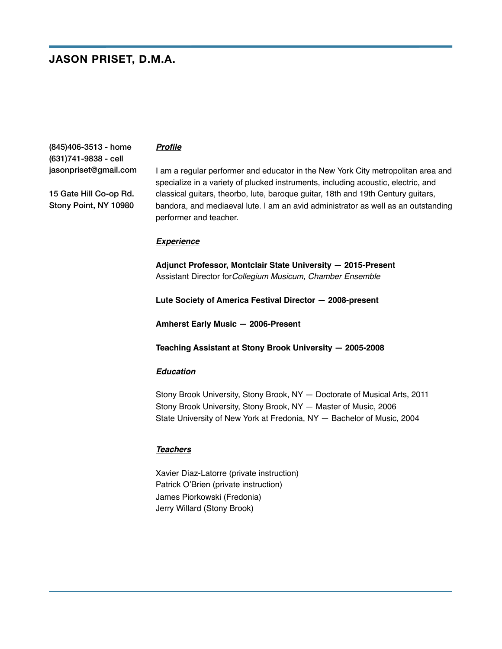# **JASON PRISET, D.M.A.**

(845)406-3513 - home (631)741-9838 - cell jasonpriset@gmail.com

15 Gate Hill Co-op Rd. Stony Point, NY 10980

### *Profile*

I am a regular performer and educator in the New York City metropolitan area and specialize in a variety of plucked instruments, including acoustic, electric, and classical guitars, theorbo, lute, baroque guitar, 18th and 19th Century guitars, bandora, and mediaeval lute. I am an avid administrator as well as an outstanding performer and teacher.

#### *Experience*

**Adjunct Professor, Montclair State University — 2015-Present** Assistant Director for*Collegium Musicum, Chamber Ensemble* 

**Lute Society of America Festival Director — 2008-present**

**Amherst Early Music — 2006-Present**

**Teaching Assistant at Stony Brook University — 2005-2008**

#### *Education*

Stony Brook University, Stony Brook, NY — Doctorate of Musical Arts, 2011 Stony Brook University, Stony Brook, NY — Master of Music, 2006 State University of New York at Fredonia, NY — Bachelor of Music, 2004

#### *Teachers*

Xavier Díaz-Latorre (private instruction) Patrick O'Brien (private instruction) James Piorkowski (Fredonia) Jerry Willard (Stony Brook)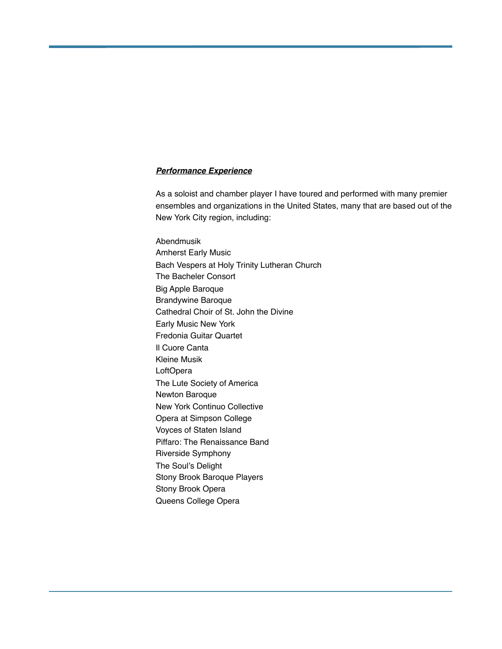## *Performance Experience*

As a soloist and chamber player I have toured and performed with many premier ensembles and organizations in the United States, many that are based out of the New York City region, including:

Abendmusik Amherst Early Music Bach Vespers at Holy Trinity Lutheran Church The Bacheler Consort Big Apple Baroque Brandywine Baroque Cathedral Choir of St. John the Divine Early Music New York Fredonia Guitar Quartet Il Cuore Canta Kleine Musik **LoftOpera** The Lute Society of America Newton Baroque New York Continuo Collective Opera at Simpson College Voyces of Staten Island Piffaro: The Renaissance Band Riverside Symphony The Soul's Delight Stony Brook Baroque Players Stony Brook Opera Queens College Opera